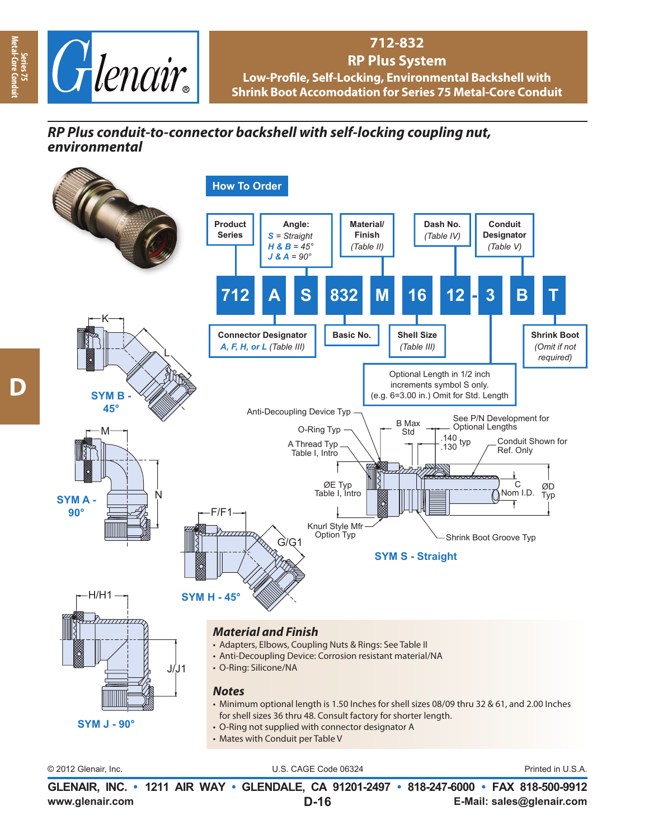

## **712-832 RP Plus System** Low-Profile, Self-Locking, Environmental Backshell with **Shrink Boot Accomodation for Series 75 Metal-Core Conduit**

## *RP Plus conduit-to-connector backshell with self-locking coupling nut, environmental*



**www.glenair.com E-Mail: sales@glenair.com GLENAIR, INC. • 1211 AIR WAY • GLENDALE, CA 91201-2497 • 818-247-6000 • FAX 818-500-9912 D-16**

**Series 75 Metal-Core Conduit**